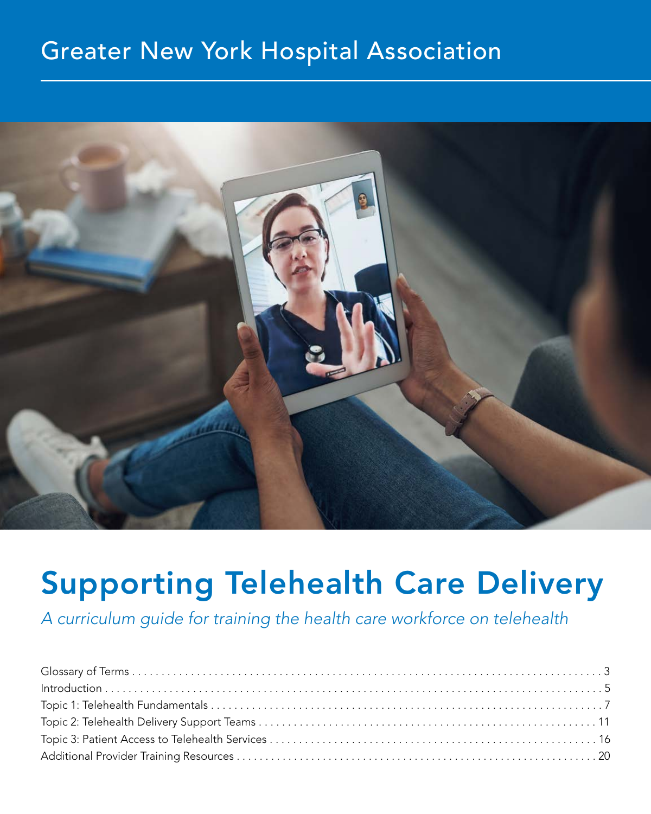# Greater New York Hospital Association



# Supporting Telehealth Care Delivery

*A curriculum guide for training the health care workforce on telehealth*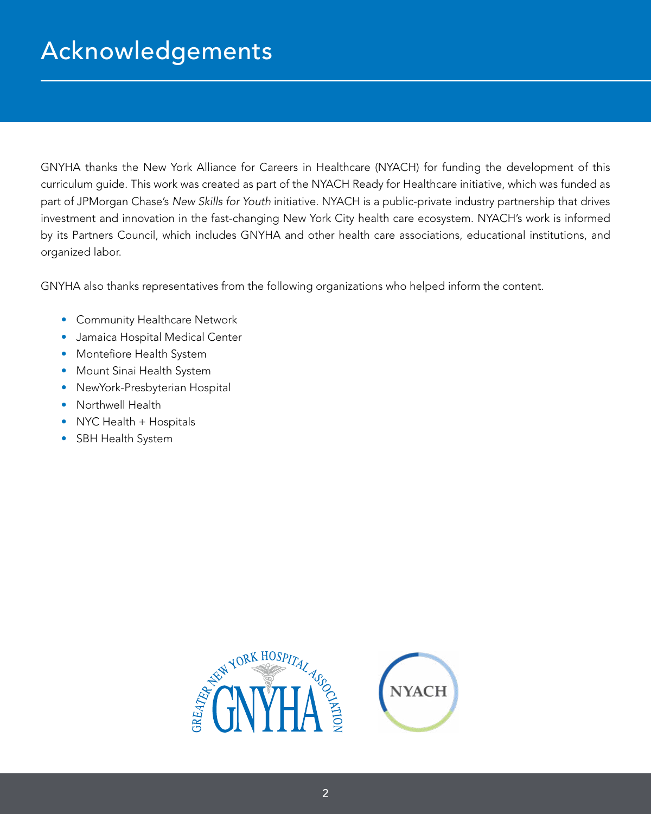# Acknowledgements

GNYHA thanks the New York Alliance for Careers in Healthcare (NYACH) for funding the development of this curriculum guide. This work was created as part of the NYACH Ready for Healthcare initiative, which was funded as part of JPMorgan Chase's *New Skills for Youth* initiative. NYACH is a public-private industry partnership that drives investment and innovation in the fast-changing New York City health care ecosystem. NYACH's work is informed by its Partners Council, which includes GNYHA and other health care associations, educational institutions, and organized labor.

GNYHA also thanks representatives from the following organizations who helped inform the content.

- Community Healthcare Network
- Jamaica Hospital Medical Center
- Montefiore Health System
- Mount Sinai Health System
- NewYork-Presbyterian Hospital
- Northwell Health
- NYC Health + Hospitals
- SBH Health System

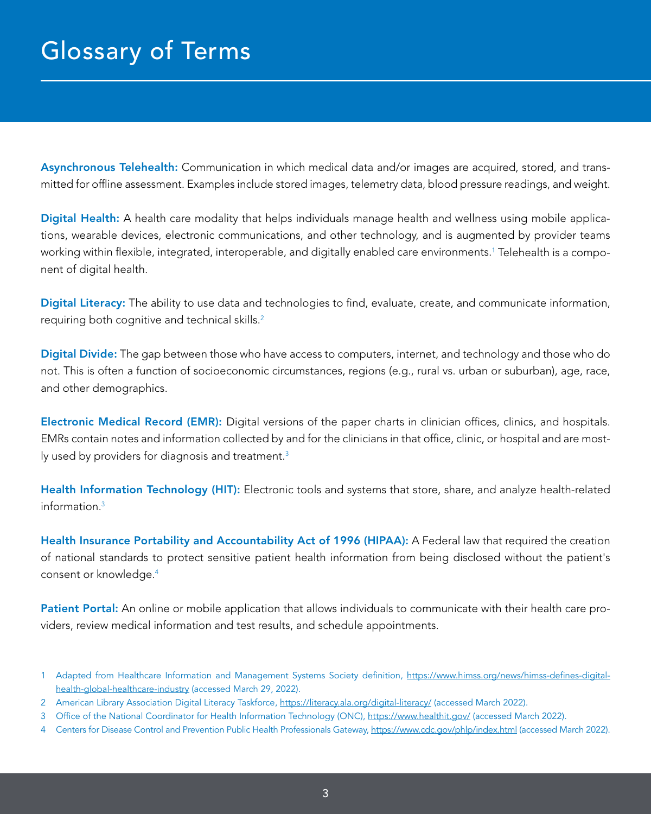<span id="page-2-0"></span>Asynchronous Telehealth: Communication in which medical data and/or images are acquired, stored, and transmitted for offline assessment. Examples include stored images, telemetry data, blood pressure readings, and weight.

Digital Health: A health care modality that helps individuals manage health and wellness using mobile applications, wearable devices, electronic communications, and other technology, and is augmented by provider teams working within flexible, integrated, interoperable, and digitally enabled care environments.1 Telehealth is a component of digital health.

Digital Literacy: The ability to use data and technologies to find, evaluate, create, and communicate information, requiring both cognitive and technical skills.2

Digital Divide: The gap between those who have access to computers, internet, and technology and those who do not. This is often a function of socioeconomic circumstances, regions (e.g., rural vs. urban or suburban), age, race, and other demographics.

Electronic Medical Record (EMR): Digital versions of the paper charts in clinician offices, clinics, and hospitals. EMRs contain notes and information collected by and for the clinicians in that office, clinic, or hospital and are mostly used by providers for diagnosis and treatment.<sup>3</sup>

Health Information Technology (HIT): Electronic tools and systems that store, share, and analyze health-related  $information<sup>3</sup>$ 

Health Insurance Portability and Accountability Act of 1996 (HIPAA): A Federal law that required the creation of national standards to protect sensitive patient health information from being disclosed without the patient's consent or knowledge.4

Patient Portal: An online or mobile application that allows individuals to communicate with their health care providers, review medical information and test results, and schedule appointments.

4 Centers for Disease Control and Prevention Public Health Professionals Gateway,<https://www.cdc.gov/phlp/index.html>(accessed March 2022).

<sup>1</sup> Adapted from Healthcare Information and Management Systems Society definition, [https://www.himss.org/news/himss-defines-digital](https://www.himss.org/news/himss-defines-digital-health-global-healthcare-industry)[health-global-healthcare-industry](https://www.himss.org/news/himss-defines-digital-health-global-healthcare-industry) (accessed March 29, 2022).

<sup>2</sup> American Library Association Digital Literacy Taskforce, <https://literacy.ala.org/digital-literacy/>(accessed March 2022).

<sup>3</sup> Office of the National Coordinator for Health Information Technology (ONC), <https://www.healthit.gov/> (accessed March 2022).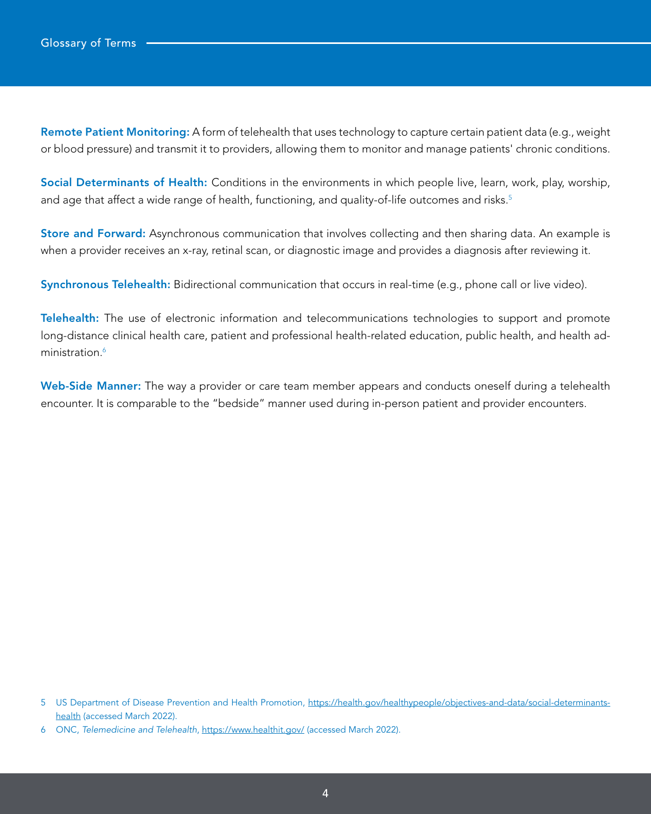Remote Patient Monitoring: A form of telehealth that uses technology to capture certain patient data (e.g., weight or blood pressure) and transmit it to providers, allowing them to monitor and manage patients' chronic conditions.

Social Determinants of Health: Conditions in the environments in which people live, learn, work, play, worship, and age that affect a wide range of health, functioning, and quality-of-life outcomes and risks.<sup>5</sup>

Store and Forward: Asynchronous communication that involves collecting and then sharing data. An example is when a provider receives an x-ray, retinal scan, or diagnostic image and provides a diagnosis after reviewing it.

Synchronous Telehealth: Bidirectional communication that occurs in real-time (e.g., phone call or live video).

Telehealth: The use of electronic information and telecommunications technologies to support and promote long-distance clinical health care, patient and professional health-related education, public health, and health administration.<sup>6</sup>

Web-Side Manner: The way a provider or care team member appears and conducts oneself during a telehealth encounter. It is comparable to the "bedside" manner used during in-person patient and provider encounters.

<sup>5</sup> US Department of Disease Prevention and Health Promotion, [https://health.gov/healthypeople/objectives-and-data/social-determinants](https://health.gov/healthypeople/objectives-and-data/social-determinants-health)[health](https://health.gov/healthypeople/objectives-and-data/social-determinants-health) (accessed March 2022).

<sup>6</sup> ONC, *Telemedicine and Telehealth*, <https://www.healthit.gov/> (accessed March 2022).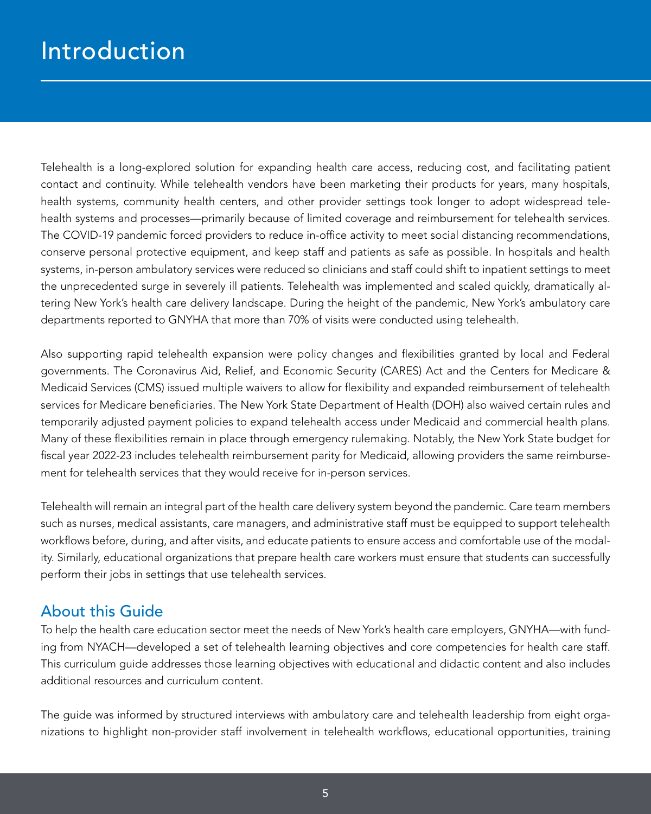# <span id="page-4-0"></span>Introduction

Telehealth is a long-explored solution for expanding health care access, reducing cost, and facilitating patient contact and continuity. While telehealth vendors have been marketing their products for years, many hospitals, health systems, community health centers, and other provider settings took longer to adopt widespread telehealth systems and processes—primarily because of limited coverage and reimbursement for telehealth services. The COVID-19 pandemic forced providers to reduce in-office activity to meet social distancing recommendations, conserve personal protective equipment, and keep staff and patients as safe as possible. In hospitals and health systems, in-person ambulatory services were reduced so clinicians and staff could shift to inpatient settings to meet the unprecedented surge in severely ill patients. Telehealth was implemented and scaled quickly, dramatically altering New York's health care delivery landscape. During the height of the pandemic, New York's ambulatory care departments reported to GNYHA that more than 70% of visits were conducted using telehealth.

Also supporting rapid telehealth expansion were policy changes and flexibilities granted by local and Federal governments. The Coronavirus Aid, Relief, and Economic Security (CARES) Act and the Centers for Medicare & Medicaid Services (CMS) issued multiple waivers to allow for flexibility and expanded reimbursement of telehealth services for Medicare beneficiaries. The New York State Department of Health (DOH) also waived certain rules and temporarily adjusted payment policies to expand telehealth access under Medicaid and commercial health plans. Many of these flexibilities remain in place through emergency rulemaking. Notably, the New York State budget for fiscal year 2022-23 includes telehealth reimbursement parity for Medicaid, allowing providers the same reimbursement for telehealth services that they would receive for in-person services.

Telehealth will remain an integral part of the health care delivery system beyond the pandemic. Care team members such as nurses, medical assistants, care managers, and administrative staff must be equipped to support telehealth workflows before, during, and after visits, and educate patients to ensure access and comfortable use of the modality. Similarly, educational organizations that prepare health care workers must ensure that students can successfully perform their jobs in settings that use telehealth services.

### About this Guide

To help the health care education sector meet the needs of New York's health care employers, GNYHA—with funding from NYACH—developed a set of telehealth learning objectives and core competencies for health care staff. This curriculum guide addresses those learning objectives with educational and didactic content and also includes additional resources and curriculum content.

The guide was informed by structured interviews with ambulatory care and telehealth leadership from eight organizations to highlight non-provider staff involvement in telehealth workflows, educational opportunities, training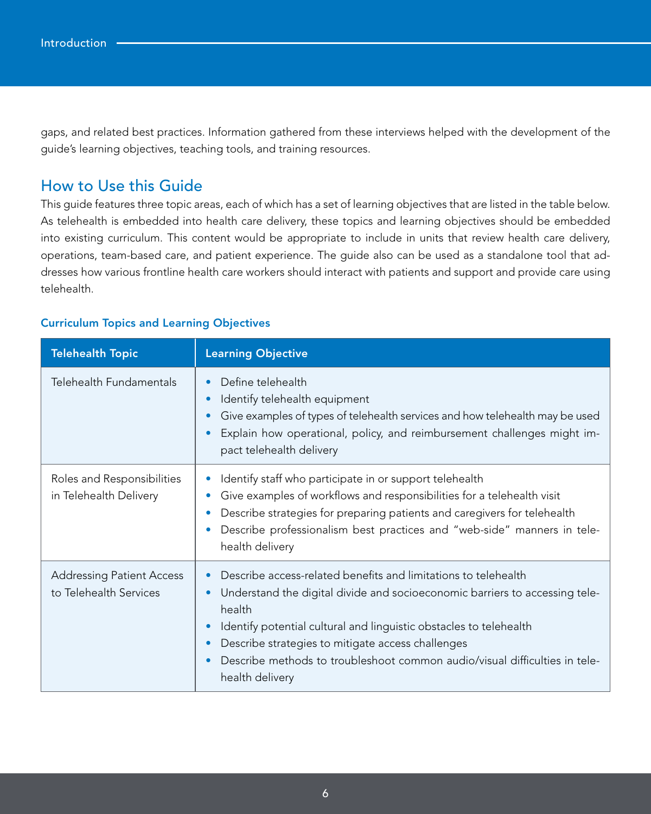gaps, and related best practices. Information gathered from these interviews helped with the development of the guide's learning objectives, teaching tools, and training resources.

### How to Use this Guide

This guide features three topic areas, each of which has a set of learning objectives that are listed in the table below. As telehealth is embedded into health care delivery, these topics and learning objectives should be embedded into existing curriculum. This content would be appropriate to include in units that review health care delivery, operations, team-based care, and patient experience. The guide also can be used as a standalone tool that addresses how various frontline health care workers should interact with patients and support and provide care using telehealth.

#### Curriculum Topics and Learning Objectives

| <b>Telehealth Topic</b>                                    | <b>Learning Objective</b>                                                                                                                                                                                                                                                                                                                                                           |
|------------------------------------------------------------|-------------------------------------------------------------------------------------------------------------------------------------------------------------------------------------------------------------------------------------------------------------------------------------------------------------------------------------------------------------------------------------|
| Telehealth Fundamentals                                    | Define telehealth<br>Identify telehealth equipment<br>Give examples of types of telehealth services and how telehealth may be used<br>Explain how operational, policy, and reimbursement challenges might im-<br>pact telehealth delivery                                                                                                                                           |
| Roles and Responsibilities<br>in Telehealth Delivery       | Identify staff who participate in or support telehealth<br>Give examples of workflows and responsibilities for a telehealth visit<br>Describe strategies for preparing patients and caregivers for telehealth<br>Describe professionalism best practices and "web-side" manners in tele-<br>health delivery                                                                         |
| <b>Addressing Patient Access</b><br>to Telehealth Services | Describe access-related benefits and limitations to telehealth<br>Understand the digital divide and socioeconomic barriers to accessing tele-<br>health<br>Identify potential cultural and linguistic obstacles to telehealth<br>Describe strategies to mitigate access challenges<br>Describe methods to troubleshoot common audio/visual difficulties in tele-<br>health delivery |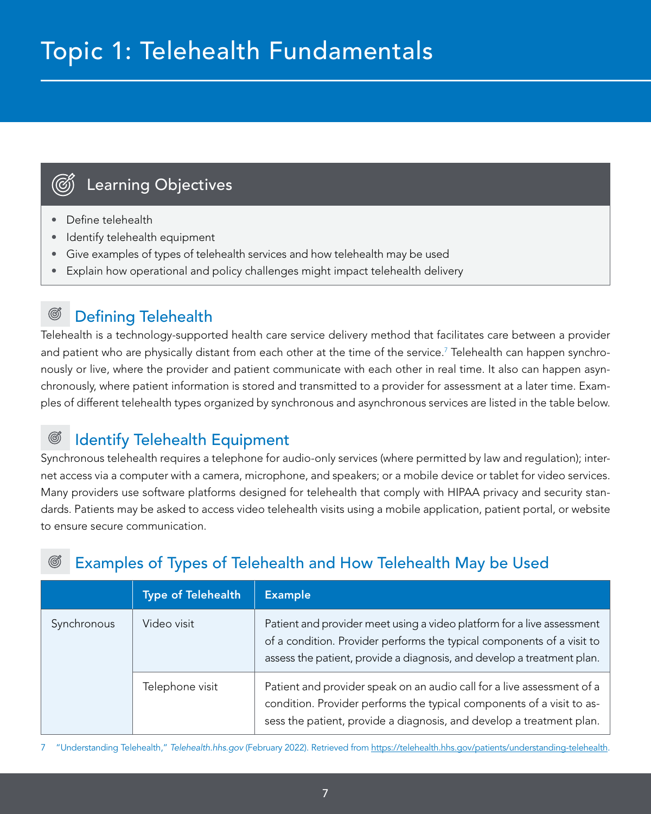# <span id="page-6-0"></span>Topic 1: Telehealth Fundamentals

# Learning Objectives

- Define telehealth
- Identify telehealth equipment
- Give examples of types of telehealth services and how telehealth may be used
- Explain how operational and policy challenges might impact telehealth delivery

#### ඟී Defining Telehealth

Telehealth is a technology-supported health care service delivery method that facilitates care between a provider and patient who are physically distant from each other at the time of the service.<sup>7</sup> Telehealth can happen synchronously or live, where the provider and patient communicate with each other in real time. It also can happen asynchronously, where patient information is stored and transmitted to a provider for assessment at a later time. Examples of different telehealth types organized by synchronous and asynchronous services are listed in the table below.

#### Identify Telehealth Equipment G

Synchronous telehealth requires a telephone for audio-only services (where permitted by law and regulation); internet access via a computer with a camera, microphone, and speakers; or a mobile device or tablet for video services. Many providers use software platforms designed for telehealth that comply with HIPAA privacy and security standards. Patients may be asked to access video telehealth visits using a mobile application, patient portal, or website to ensure secure communication.

# Examples of Types of Telehealth and How Telehealth May be Used

|             | <b>Type of Telehealth</b> | <b>Example</b>                                                                                                                                                                                                             |
|-------------|---------------------------|----------------------------------------------------------------------------------------------------------------------------------------------------------------------------------------------------------------------------|
| Synchronous | Video visit               | Patient and provider meet using a video platform for a live assessment<br>of a condition. Provider performs the typical components of a visit to<br>assess the patient, provide a diagnosis, and develop a treatment plan. |
|             | Telephone visit           | Patient and provider speak on an audio call for a live assessment of a<br>condition. Provider performs the typical components of a visit to as-<br>sess the patient, provide a diagnosis, and develop a treatment plan.    |

7 "Understanding Telehealth," *Telehealth.hhs.gov* (February 2022). Retrieved from [https://telehealth.hhs.gov/patients/understanding-telehealth.](https://telehealth.hhs.gov/patients/understanding-telehealth)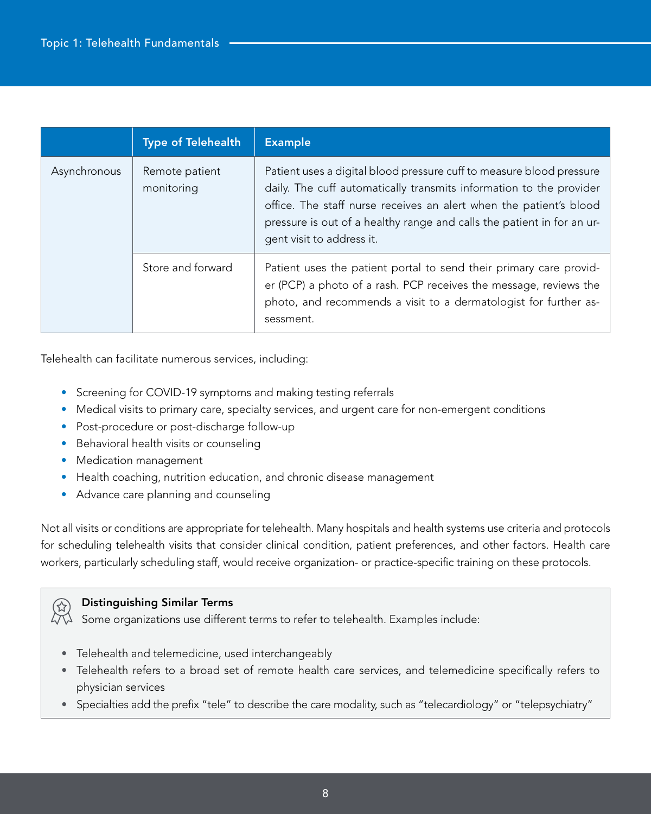|              | <b>Type of Telehealth</b>    | <b>Example</b>                                                                                                                                                                                                                                                                                                           |
|--------------|------------------------------|--------------------------------------------------------------------------------------------------------------------------------------------------------------------------------------------------------------------------------------------------------------------------------------------------------------------------|
| Asynchronous | Remote patient<br>monitoring | Patient uses a digital blood pressure cuff to measure blood pressure<br>daily. The cuff automatically transmits information to the provider<br>office. The staff nurse receives an alert when the patient's blood<br>pressure is out of a healthy range and calls the patient in for an ur-<br>gent visit to address it. |
|              | Store and forward            | Patient uses the patient portal to send their primary care provid-<br>er (PCP) a photo of a rash. PCP receives the message, reviews the<br>photo, and recommends a visit to a dermatologist for further as-<br>sessment.                                                                                                 |

Telehealth can facilitate numerous services, including:

- Screening for COVID-19 symptoms and making testing referrals
- Medical visits to primary care, specialty services, and urgent care for non-emergent conditions
- Post-procedure or post-discharge follow-up
- Behavioral health visits or counseling
- Medication management
- Health coaching, nutrition education, and chronic disease management
- Advance care planning and counseling

Not all visits or conditions are appropriate for telehealth. Many hospitals and health systems use criteria and protocols for scheduling telehealth visits that consider clinical condition, patient preferences, and other factors. Health care workers, particularly scheduling staff, would receive organization- or practice-specific training on these protocols.



### Distinguishing Similar Terms

 $\Diamond\Diamond$  Some organizations use different terms to refer to telehealth. Examples include:

- Telehealth and telemedicine, used interchangeably
- Telehealth refers to a broad set of remote health care services, and telemedicine specifically refers to physician services
- Specialties add the prefix "tele" to describe the care modality, such as "telecardiology" or "telepsychiatry"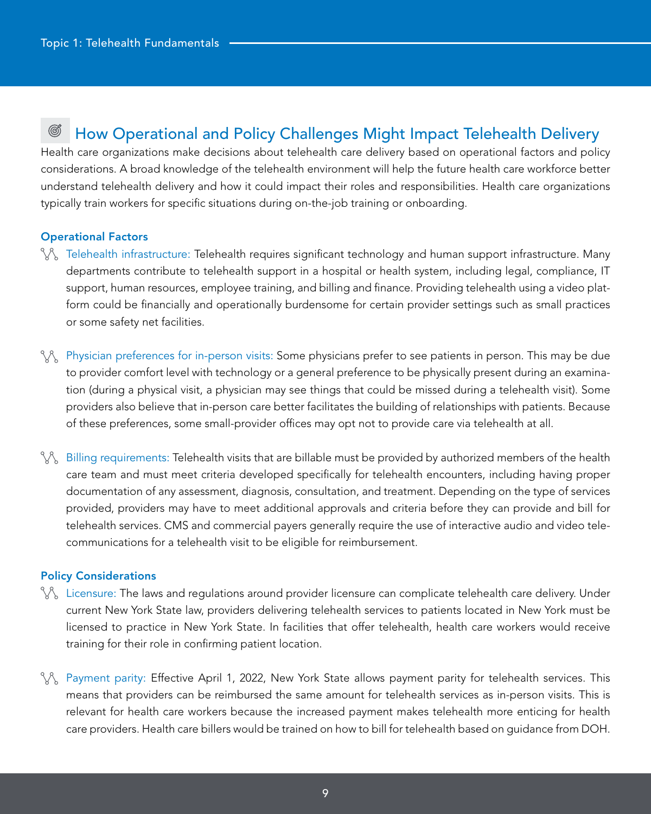#### ඟී How Operational and Policy Challenges Might Impact Telehealth Delivery

Health care organizations make decisions about telehealth care delivery based on operational factors and policy considerations. A broad knowledge of the telehealth environment will help the future health care workforce better understand telehealth delivery and how it could impact their roles and responsibilities. Health care organizations typically train workers for specific situations during on-the-job training or onboarding.

#### Operational Factors

- $\gamma\gamma$  Telehealth infrastructure: Telehealth requires significant technology and human support infrastructure. Many departments contribute to telehealth support in a hospital or health system, including legal, compliance, IT support, human resources, employee training, and billing and finance. Providing telehealth using a video platform could be financially and operationally burdensome for certain provider settings such as small practices or some safety net facilities.
- $\chi$ <sub> $\chi$ </sub> Physician preferences for in-person visits: Some physicians prefer to see patients in person. This may be due to provider comfort level with technology or a general preference to be physically present during an examination (during a physical visit, a physician may see things that could be missed during a telehealth visit). Some providers also believe that in-person care better facilitates the building of relationships with patients. Because of these preferences, some small-provider offices may opt not to provide care via telehealth at all.
- $\gamma\gamma$  Billing requirements: Telehealth visits that are billable must be provided by authorized members of the health care team and must meet criteria developed specifically for telehealth encounters, including having proper documentation of any assessment, diagnosis, consultation, and treatment. Depending on the type of services provided, providers may have to meet additional approvals and criteria before they can provide and bill for telehealth services. CMS and commercial payers generally require the use of interactive audio and video telecommunications for a telehealth visit to be eligible for reimbursement.

#### Policy Considerations

- $\%$  Licensure: The laws and regulations around provider licensure can complicate telehealth care delivery. Under current New York State law, providers delivering telehealth services to patients located in New York must be licensed to practice in New York State. In facilities that offer telehealth, health care workers would receive training for their role in confirming patient location.
- $\%$  Payment parity: Effective April 1, 2022, New York State allows payment parity for telehealth services. This means that providers can be reimbursed the same amount for telehealth services as in-person visits. This is relevant for health care workers because the increased payment makes telehealth more enticing for health care providers. Health care billers would be trained on how to bill for telehealth based on guidance from DOH.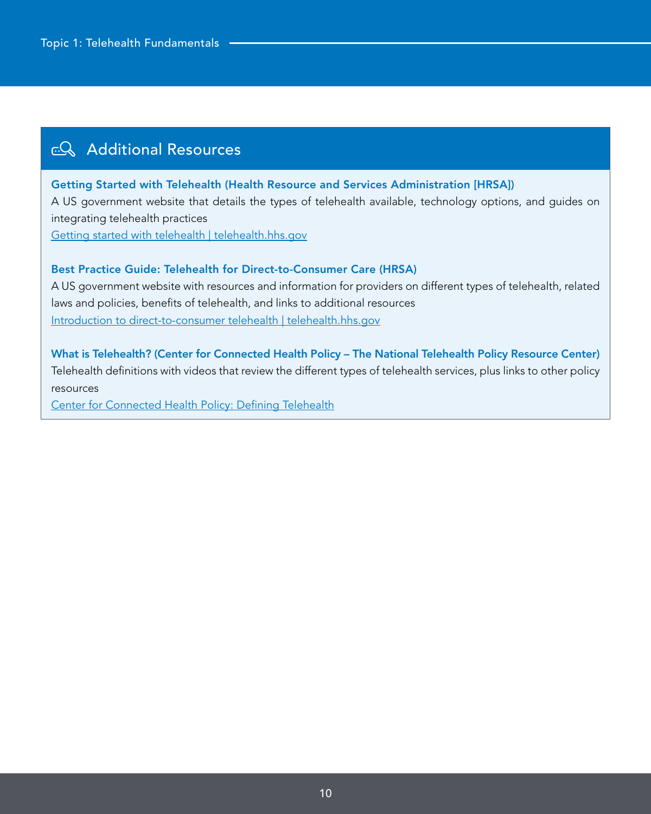# **EQ** Additional Resources

### Getting Started with Telehealth (Health Resource and Services Administration [HRSA])

A US government website that details the types of telehealth available, technology options, and guides on integrating telehealth practices

[Getting started with telehealth | telehealth.hhs.gov](https://telehealth.hhs.gov/providers/getting-started/)

### Best Practice Guide: Telehealth for Direct-to-Consumer Care (HRSA)

A US government website with resources and information for providers on different types of telehealth, related laws and policies, benefits of telehealth, and links to additional resources [Introduction to direct-to-consumer telehealth | telehealth.hhs.gov](https://telehealth.hhs.gov/providers/direct-to-consumer/)

What is Telehealth? (Center for Connected Health Policy – The National Telehealth Policy Resource Center) Telehealth definitions with videos that review the different types of telehealth services, plus links to other policy resources

[Center for Connected Health Policy: Defining Telehealth](https://www.cchpca.org/what-is-telehealth/)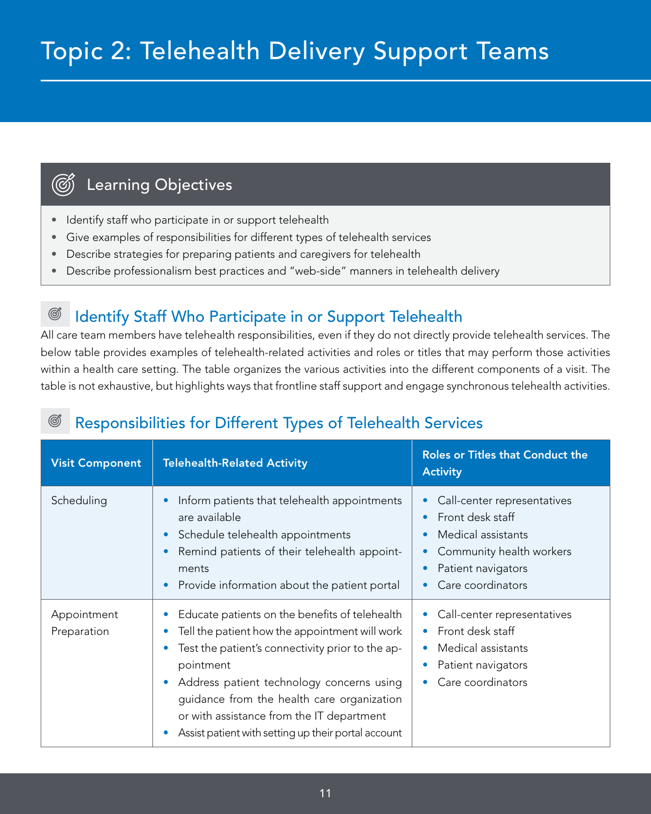# <span id="page-10-0"></span>Topic 2: Telehealth Delivery Support Teams

# Learning Objectives

 $(\widetilde{(\mathcal{C})})$ 

- Identify staff who participate in or support telehealth
- Give examples of responsibilities for different types of telehealth services
- Describe strategies for preparing patients and caregivers for telehealth
- Describe professionalism best practices and "web-side" manners in telehealth delivery

#### Identify Staff Who Participate in or Support Telehealth G

All care team members have telehealth responsibilities, even if they do not directly provide telehealth services. The below table provides examples of telehealth-related activities and roles or titles that may perform those activities within a health care setting. The table organizes the various activities into the different components of a visit. The table is not exhaustive, but highlights ways that frontline staff support and engage synchronous telehealth activities.

## Responsibilities for Different Types of Telehealth Services

| <b>Visit Component</b>     | <b>Telehealth-Related Activity</b>                                                                                                                                                                                                                                                                                                                                                                      | <b>Roles or Titles that Conduct the</b><br><b>Activity</b>                                                                                                                                                                 |
|----------------------------|---------------------------------------------------------------------------------------------------------------------------------------------------------------------------------------------------------------------------------------------------------------------------------------------------------------------------------------------------------------------------------------------------------|----------------------------------------------------------------------------------------------------------------------------------------------------------------------------------------------------------------------------|
| Scheduling                 | Inform patients that telehealth appointments<br>$\bullet$<br>are available<br>Schedule telehealth appointments<br>$\bullet$<br>Remind patients of their telehealth appoint-<br>$\bullet$<br>ments<br>Provide information about the patient portal<br>$\bullet$                                                                                                                                          | Call-center representatives<br>$\bullet$<br>Front desk staff<br>$\bullet$<br>Medical assistants<br>$\bullet$<br>Community health workers<br>$\bullet$<br>Patient navigators<br>$\bullet$<br>Care coordinators<br>$\bullet$ |
| Appointment<br>Preparation | Educate patients on the benefits of telehealth<br>$\bullet$<br>Tell the patient how the appointment will work<br>$\bullet$<br>Test the patient's connectivity prior to the ap-<br>pointment<br>Address patient technology concerns using<br>$\bullet$<br>guidance from the health care organization<br>or with assistance from the IT department<br>Assist patient with setting up their portal account | Call-center representatives<br>$\bullet$<br>Front desk staff<br>$\bullet$<br>Medical assistants<br>$\bullet$<br>Patient navigators<br>$\bullet$<br>Care coordinators<br>$\bullet$                                          |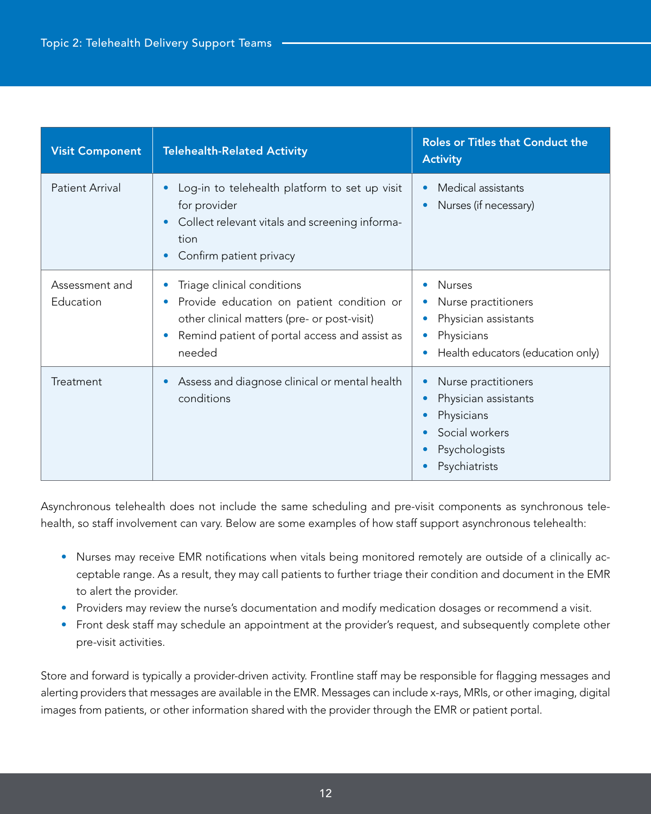| <b>Visit Component</b>      | <b>Telehealth-Related Activity</b>                                                                                                                                                                          | <b>Roles or Titles that Conduct the</b><br><b>Activity</b>                                                                                                                     |
|-----------------------------|-------------------------------------------------------------------------------------------------------------------------------------------------------------------------------------------------------------|--------------------------------------------------------------------------------------------------------------------------------------------------------------------------------|
| <b>Patient Arrival</b>      | Log-in to telehealth platform to set up visit<br>$\bullet$<br>for provider<br>Collect relevant vitals and screening informa-<br>$\bullet$<br>tion<br>Confirm patient privacy<br>$\bullet$                   | Medical assistants<br>$\bullet$<br>Nurses (if necessary)<br>O                                                                                                                  |
| Assessment and<br>Education | Triage clinical conditions<br>Provide education on patient condition or<br>$\bullet$<br>other clinical matters (pre- or post-visit)<br>Remind patient of portal access and assist as<br>$\bullet$<br>needed | <b>Nurses</b><br>$\bullet$<br>Nurse practitioners<br>$\bullet$<br>Physician assistants<br>$\bullet$<br>Physicians<br>Health educators (education only)                         |
| Treatment                   | Assess and diagnose clinical or mental health<br>$\bullet$<br>conditions                                                                                                                                    | Nurse practitioners<br>$\bullet$<br>Physician assistants<br>$\bullet$<br>Physicians<br>$\bullet$<br>Social workers<br>$\bullet$<br>Psychologists<br>$\bullet$<br>Psychiatrists |

Asynchronous telehealth does not include the same scheduling and pre-visit components as synchronous telehealth, so staff involvement can vary. Below are some examples of how staff support asynchronous telehealth:

- Nurses may receive EMR notifications when vitals being monitored remotely are outside of a clinically acceptable range. As a result, they may call patients to further triage their condition and document in the EMR to alert the provider.
- Providers may review the nurse's documentation and modify medication dosages or recommend a visit.
- Front desk staff may schedule an appointment at the provider's request, and subsequently complete other pre-visit activities.

Store and forward is typically a provider-driven activity. Frontline staff may be responsible for flagging messages and alerting providers that messages are available in the EMR. Messages can include x-rays, MRIs, or other imaging, digital images from patients, or other information shared with the provider through the EMR or patient portal.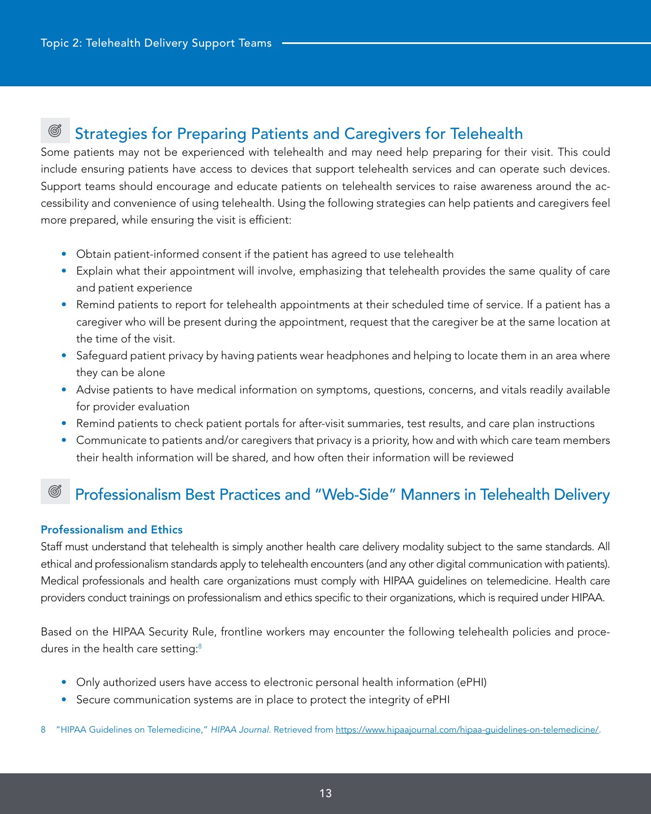#### ඟී Strategies for Preparing Patients and Caregivers for Telehealth

Some patients may not be experienced with telehealth and may need help preparing for their visit. This could include ensuring patients have access to devices that support telehealth services and can operate such devices. Support teams should encourage and educate patients on telehealth services to raise awareness around the accessibility and convenience of using telehealth. Using the following strategies can help patients and caregivers feel more prepared, while ensuring the visit is efficient:

- Obtain patient-informed consent if the patient has agreed to use telehealth
- Explain what their appointment will involve, emphasizing that telehealth provides the same quality of care and patient experience
- Remind patients to report for telehealth appointments at their scheduled time of service. If a patient has a caregiver who will be present during the appointment, request that the caregiver be at the same location at the time of the visit.
- Safeguard patient privacy by having patients wear headphones and helping to locate them in an area where they can be alone
- Advise patients to have medical information on symptoms, questions, concerns, and vitals readily available for provider evaluation
- Remind patients to check patient portals for after-visit summaries, test results, and care plan instructions
- Communicate to patients and/or caregivers that privacy is a priority, how and with which care team members their health information will be shared, and how often their information will be reviewed

## Professionalism Best Practices and "Web-Side" Manners in Telehealth Delivery

### Professionalism and Ethics

Staff must understand that telehealth is simply another health care delivery modality subject to the same standards. All ethical and professionalism standards apply to telehealth encounters (and any other digital communication with patients). Medical professionals and health care organizations must comply with HIPAA guidelines on telemedicine. Health care providers conduct trainings on professionalism and ethics specific to their organizations, which is required under HIPAA.

Based on the HIPAA Security Rule, frontline workers may encounter the following telehealth policies and procedures in the health care setting:<sup>8</sup>

- Only authorized users have access to electronic personal health information (ePHI)
- Secure communication systems are in place to protect the integrity of ePHI

8 "HIPAA Guidelines on Telemedicine," *HIPAA Journal*. Retrieved from [https://www.hipaajournal.com/hipaa-guidelines-on-telemedicine/.](https://www.hipaajournal.com/hipaa-guidelines-on-telemedicine/)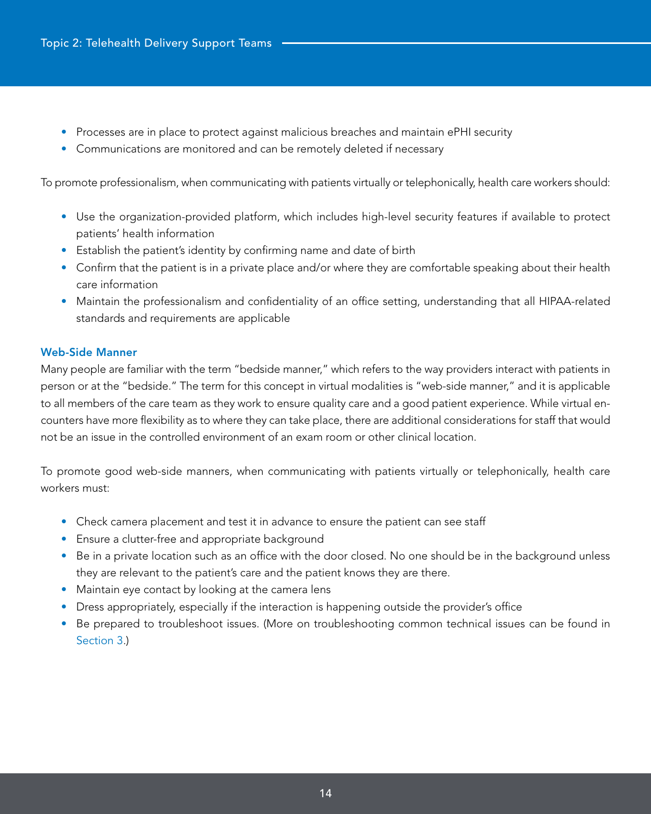- Processes are in place to protect against malicious breaches and maintain ePHI security
- Communications are monitored and can be remotely deleted if necessary

To promote professionalism, when communicating with patients virtually or telephonically, health care workers should:

- Use the organization-provided platform, which includes high-level security features if available to protect patients' health information
- Establish the patient's identity by confirming name and date of birth
- Confirm that the patient is in a private place and/or where they are comfortable speaking about their health care information
- Maintain the professionalism and confidentiality of an office setting, understanding that all HIPAA-related standards and requirements are applicable

### Web-Side Manner

Many people are familiar with the term "bedside manner," which refers to the way providers interact with patients in person or at the "bedside." The term for this concept in virtual modalities is "web-side manner," and it is applicable to all members of the care team as they work to ensure quality care and a good patient experience. While virtual encounters have more flexibility as to where they can take place, there are additional considerations for staff that would not be an issue in the controlled environment of an exam room or other clinical location.

To promote good web-side manners, when communicating with patients virtually or telephonically, health care workers must:

- Check camera placement and test it in advance to ensure the patient can see staff
- Ensure a clutter-free and appropriate background
- Be in a private location such as an office with the door closed. No one should be in the background unless they are relevant to the patient's care and the patient knows they are there.
- Maintain eye contact by looking at the camera lens
- Dress appropriately, especially if the interaction is happening outside the provider's office
- Be prepared to troubleshoot issues. (More on troubleshooting common technical issues can be found in Section 3.)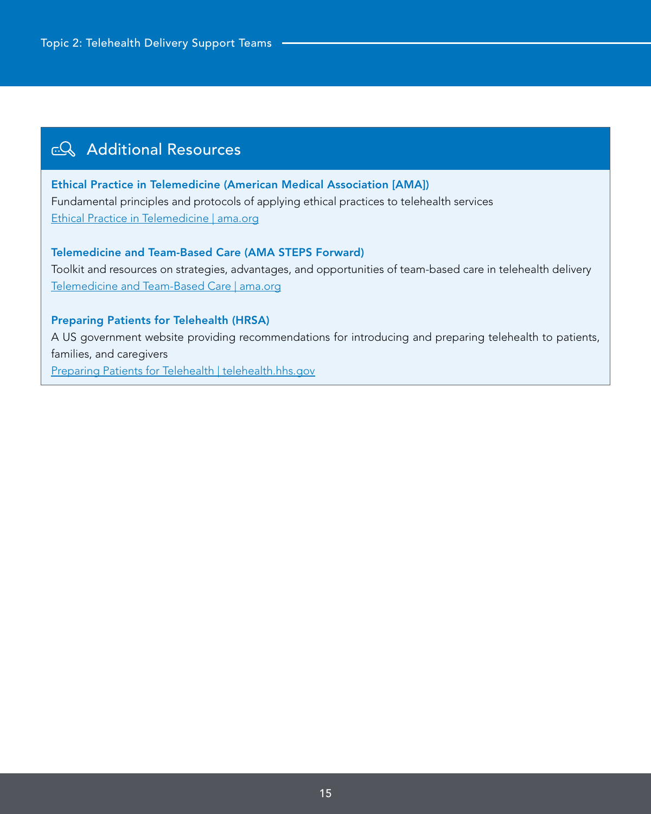## co Additional Resources

Ethical Practice in Telemedicine (American Medical Association [AMA]) Fundamental principles and protocols of applying ethical practices to telehealth services [Ethical Practice in Telemedicine | ama.org](https://www.ama-assn.org/delivering-care/ethics/ethical-practice-telemedicine)

Telemedicine and Team-Based Care (AMA STEPS Forward) Toolkit and resources on strategies, advantages, and opportunities of team-based care in telehealth delivery [Telemedicine and Team-Based Care | ama.org](https://edhub.ama-assn.org/steps-forward/module/2781279)

### Preparing Patients for Telehealth (HRSA)

A US government website providing recommendations for introducing and preparing telehealth to patients, families, and caregivers

[Preparing Patients for Telehealth | telehealth.hhs.gov](https://telehealth.hhs.gov/providers/preparing-patients-for-telehealth/)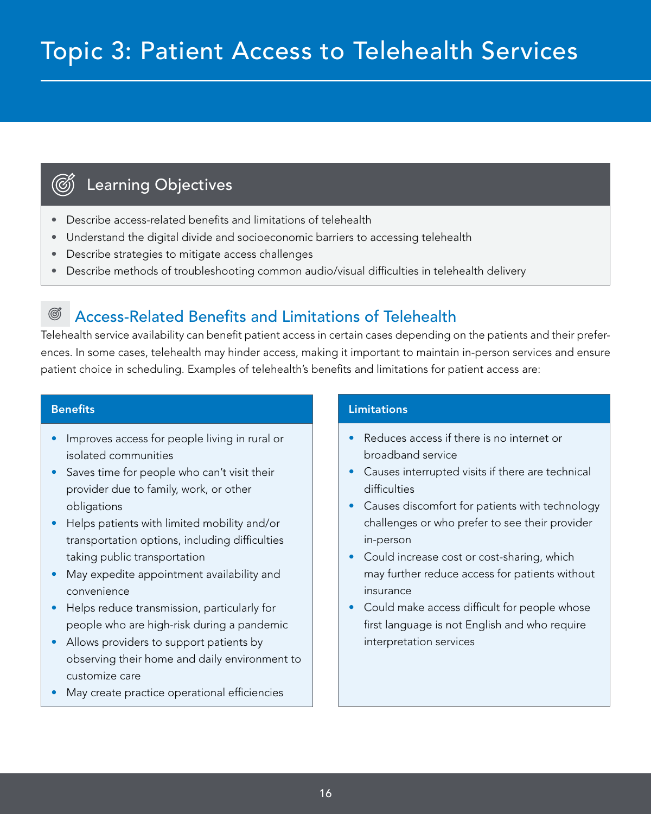# Learning Objectives

- Describe access-related benefits and limitations of telehealth
- Understand the digital divide and socioeconomic barriers to accessing telehealth
- Describe strategies to mitigate access challenges
- Describe methods of troubleshooting common audio/visual difficulties in telehealth delivery

#### ඟී Access-Related Benefits and Limitations of Telehealth

Telehealth service availability can benefit patient access in certain cases depending on the patients and their preferences. In some cases, telehealth may hinder access, making it important to maintain in-person services and ensure patient choice in scheduling. Examples of telehealth's benefits and limitations for patient access are:

### **Benefits**

<span id="page-15-0"></span>(ග්)

- Improves access for people living in rural or isolated communities
- Saves time for people who can't visit their provider due to family, work, or other obligations
- Helps patients with limited mobility and/or transportation options, including difficulties taking public transportation
- May expedite appointment availability and convenience
- Helps reduce transmission, particularly for people who are high-risk during a pandemic
- Allows providers to support patients by observing their home and daily environment to customize care
- May create practice operational efficiencies

### **Limitations**

- Reduces access if there is no internet or broadband service
- Causes interrupted visits if there are technical difficulties
- Causes discomfort for patients with technology challenges or who prefer to see their provider in-person
- Could increase cost or cost-sharing, which may further reduce access for patients without insurance
- Could make access difficult for people whose first language is not English and who require interpretation services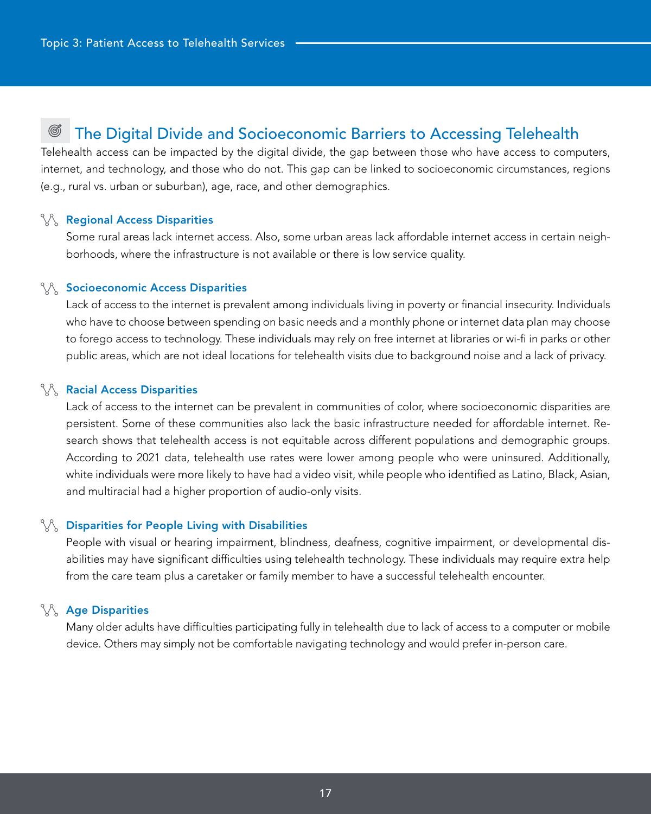#### ඟී The Digital Divide and Socioeconomic Barriers to Accessing Telehealth

Telehealth access can be impacted by the digital divide, the gap between those who have access to computers, internet, and technology, and those who do not. This gap can be linked to socioeconomic circumstances, regions (e.g., rural vs. urban or suburban), age, race, and other demographics.

#### **Regional Access Disparities**

Some rural areas lack internet access. Also, some urban areas lack affordable internet access in certain neighborhoods, where the infrastructure is not available or there is low service quality.

### **Socioeconomic Access Disparities**

Lack of access to the internet is prevalent among individuals living in poverty or financial insecurity. Individuals who have to choose between spending on basic needs and a monthly phone or internet data plan may choose to forego access to technology. These individuals may rely on free internet at libraries or wi-fi in parks or other public areas, which are not ideal locations for telehealth visits due to background noise and a lack of privacy.

### **Racial Access Disparities**

Lack of access to the internet can be prevalent in communities of color, where socioeconomic disparities are persistent. Some of these communities also lack the basic infrastructure needed for affordable internet. Research shows that telehealth access is not equitable across different populations and demographic groups. According to 2021 data, telehealth use rates were lower among people who were uninsured. Additionally, white individuals were more likely to have had a video visit, while people who identified as Latino, Black, Asian, and multiracial had a higher proportion of audio-only visits.

### $\%$  Disparities for People Living with Disabilities

People with visual or hearing impairment, blindness, deafness, cognitive impairment, or developmental disabilities may have significant difficulties using telehealth technology. These individuals may require extra help from the care team plus a caretaker or family member to have a successful telehealth encounter.

### **SAGE Disparities**

Many older adults have difficulties participating fully in telehealth due to lack of access to a computer or mobile device. Others may simply not be comfortable navigating technology and would prefer in-person care.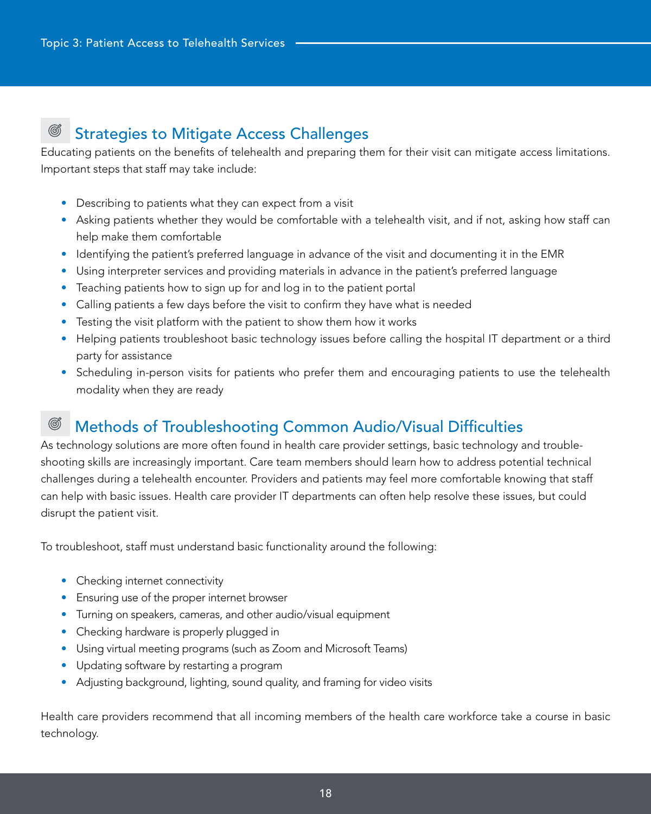#### Ø Strategies to Mitigate Access Challenges

Educating patients on the benefits of telehealth and preparing them for their visit can mitigate access limitations. Important steps that staff may take include:

- Describing to patients what they can expect from a visit
- Asking patients whether they would be comfortable with a telehealth visit, and if not, asking how staff can help make them comfortable
- Identifying the patient's preferred language in advance of the visit and documenting it in the EMR
- Using interpreter services and providing materials in advance in the patient's preferred language
- Teaching patients how to sign up for and log in to the patient portal
- Calling patients a few days before the visit to confirm they have what is needed
- Testing the visit platform with the patient to show them how it works
- Helping patients troubleshoot basic technology issues before calling the hospital IT department or a third party for assistance
- Scheduling in-person visits for patients who prefer them and encouraging patients to use the telehealth modality when they are ready

#### Ø Methods of Troubleshooting Common Audio/Visual Difficulties

As technology solutions are more often found in health care provider settings, basic technology and troubleshooting skills are increasingly important. Care team members should learn how to address potential technical challenges during a telehealth encounter. Providers and patients may feel more comfortable knowing that staff can help with basic issues. Health care provider IT departments can often help resolve these issues, but could disrupt the patient visit.

To troubleshoot, staff must understand basic functionality around the following:

- Checking internet connectivity
- Ensuring use of the proper internet browser
- Turning on speakers, cameras, and other audio/visual equipment
- Checking hardware is properly plugged in
- Using virtual meeting programs (such as Zoom and Microsoft Teams)
- Updating software by restarting a program
- Adjusting background, lighting, sound quality, and framing for video visits

Health care providers recommend that all incoming members of the health care workforce take a course in basic technology.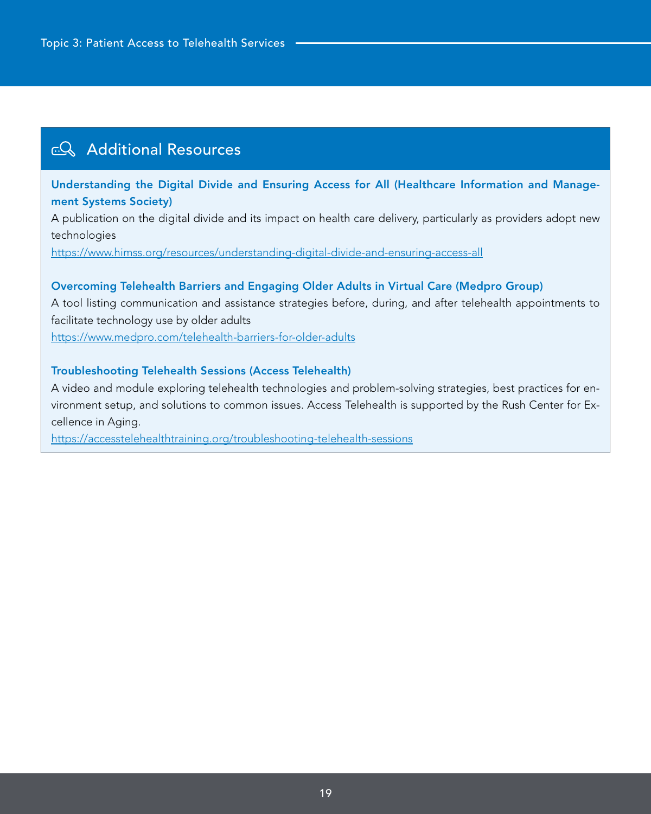## **EQ Additional Resources**

Understanding the Digital Divide and Ensuring Access for All (Healthcare Information and Management Systems Society)

A publication on the digital divide and its impact on health care delivery, particularly as providers adopt new technologies

<https://www.himss.org/resources/understanding-digital-divide-and-ensuring-access-all>

### Overcoming Telehealth Barriers and Engaging Older Adults in Virtual Care (Medpro Group)

A tool listing communication and assistance strategies before, during, and after telehealth appointments to facilitate technology use by older adults

<https://www.medpro.com/telehealth-barriers-for-older-adults>

### Troubleshooting Telehealth Sessions (Access Telehealth)

A video and module exploring telehealth technologies and problem-solving strategies, best practices for environment setup, and solutions to common issues. Access Telehealth is supported by the Rush Center for Excellence in Aging.

<https://accesstelehealthtraining.org/troubleshooting-telehealth-sessions>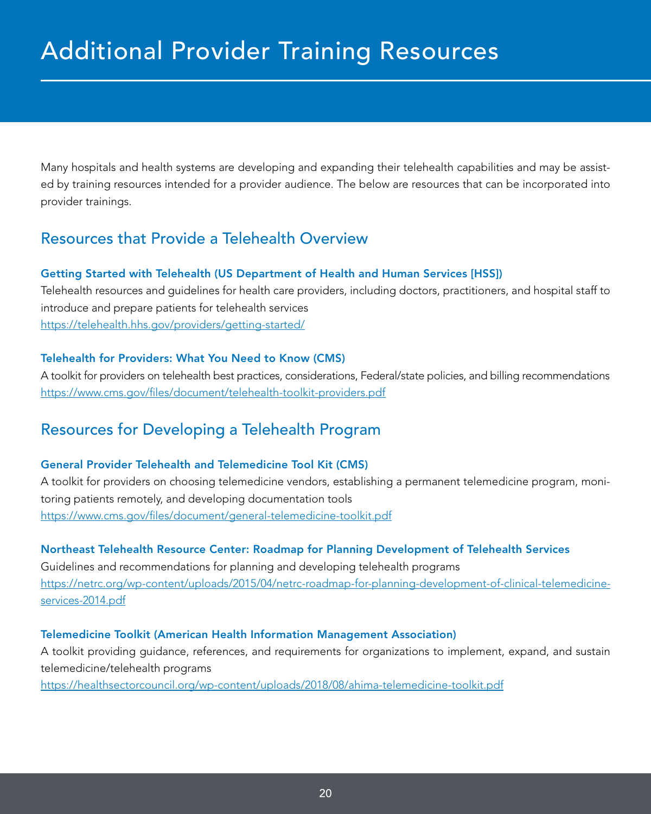<span id="page-19-0"></span>Many hospitals and health systems are developing and expanding their telehealth capabilities and may be assisted by training resources intended for a provider audience. The below are resources that can be incorporated into provider trainings.

## Resources that Provide a Telehealth Overview

### Getting Started with Telehealth (US Department of Health and Human Services [HSS])

Telehealth resources and guidelines for health care providers, including doctors, practitioners, and hospital staff to introduce and prepare patients for telehealth services <https://telehealth.hhs.gov/providers/getting-started/>

### Telehealth for Providers: What You Need to Know (CMS)

A toolkit for providers on telehealth best practices, considerations, Federal/state policies, and billing recommendations <https://www.cms.gov/files/document/telehealth-toolkit-providers.pdf>

## Resources for Developing a Telehealth Program

### General Provider Telehealth and Telemedicine Tool Kit (CMS)

A toolkit for providers on choosing telemedicine vendors, establishing a permanent telemedicine program, monitoring patients remotely, and developing documentation tools <https://www.cms.gov/files/document/general-telemedicine-toolkit.pdf>

### Northeast Telehealth Resource Center: Roadmap for Planning Development of Telehealth Services

Guidelines and recommendations for planning and developing telehealth programs [https://netrc.org/wp-content/uploads/2015/04/netrc-roadmap-for-planning-development-of-clinical-telemedicine](https://netrc.org/wp-content/uploads/2015/04/NETRC-Roadmap-for-Planning-Development-of-Clinical-Telemedicine-Services-2014.pdf)[services-2014.pdf](https://netrc.org/wp-content/uploads/2015/04/NETRC-Roadmap-for-Planning-Development-of-Clinical-Telemedicine-Services-2014.pdf)

### Telemedicine Toolkit (American Health Information Management Association)

A toolkit providing guidance, references, and requirements for organizations to implement, expand, and sustain telemedicine/telehealth programs

[https://healthsectorcouncil.org/wp-content/uploads/2018/08/ahima-telemedicine-toolkit.pdf](https://www.medpro.com/telehealth-barriers-for-older-adults)